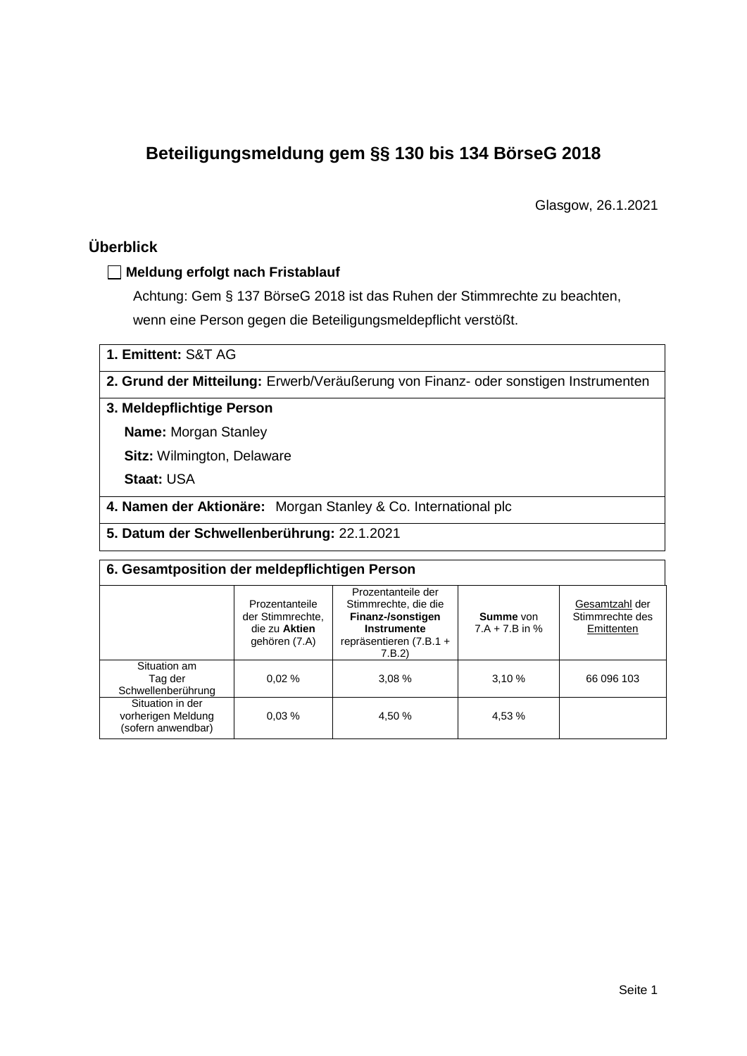# **Beteiligungsmeldung gem §§ 130 bis 134 BörseG 2018**

Glasgow, 26.1.2021

# **Überblick**

# **Meldung erfolgt nach Fristablauf**

Achtung: Gem § 137 BörseG 2018 ist das Ruhen der Stimmrechte zu beachten, wenn eine Person gegen die Beteiligungsmeldepflicht verstößt.

**1. Emittent:** S&T AG

**2. Grund der Mitteilung:** Erwerb/Veräußerung von Finanz- oder sonstigen Instrumenten

## **3. Meldepflichtige Person**

**Name:** Morgan Stanley

**Sitz:** Wilmington, Delaware

**Staat:** USA

**4. Namen der Aktionäre:** Morgan Stanley & Co. International plc

**5. Datum der Schwellenberührung:** 22.1.2021

| 6. Gesamtposition der meldepflichtigen Person                |                                                                      |                                                                                                                      |                               |                                                 |  |  |  |
|--------------------------------------------------------------|----------------------------------------------------------------------|----------------------------------------------------------------------------------------------------------------------|-------------------------------|-------------------------------------------------|--|--|--|
|                                                              | Prozentanteile<br>der Stimmrechte.<br>die zu Aktien<br>gehören (7.A) | Prozentanteile der<br>Stimmrechte, die die<br>Finanz-/sonstigen<br>Instrumente<br>repräsentieren $(7.B.1 +$<br>7.B.2 | Summe von<br>$7.A + 7.B$ in % | Gesamtzahl der<br>Stimmrechte des<br>Emittenten |  |  |  |
| Situation am<br>Tag der<br>Schwellenberührung                | 0.02%                                                                | 3.08%                                                                                                                | 3,10%                         | 66 096 103                                      |  |  |  |
| Situation in der<br>vorherigen Meldung<br>(sofern anwendbar) | 0.03%                                                                | 4.50 %                                                                                                               | 4,53 %                        |                                                 |  |  |  |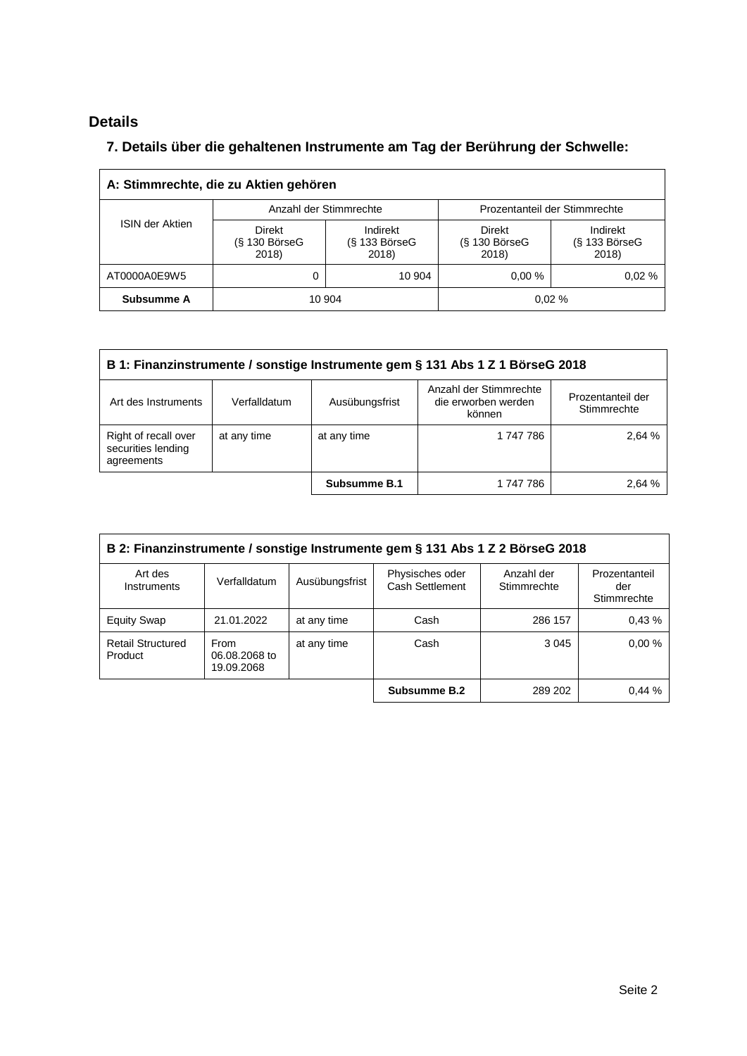# **Details**

# **7. Details über die gehaltenen Instrumente am Tag der Berührung der Schwelle:**

| A: Stimmrechte, die zu Aktien gehören |                                           |                                      |                                              |                                      |  |  |  |
|---------------------------------------|-------------------------------------------|--------------------------------------|----------------------------------------------|--------------------------------------|--|--|--|
|                                       |                                           | Anzahl der Stimmrechte               | Prozentanteil der Stimmrechte                |                                      |  |  |  |
| <b>ISIN der Aktien</b>                | <b>Direkt</b><br>$(S$ 130 BörseG<br>2018) | Indirekt<br>$(S$ 133 BörseG<br>2018) | <b>Direkt</b><br>$(S$ 130 Börse $G$<br>2018) | Indirekt<br>$(S$ 133 BörseG<br>2018) |  |  |  |
| AT0000A0E9W5                          | 0                                         | 10 904                               | 0.00%                                        | 0.02%                                |  |  |  |
| Subsumme A                            |                                           | 10 904                               |                                              | 0.02%                                |  |  |  |

| B 1: Finanzinstrumente / sonstige Instrumente gem § 131 Abs 1 Z 1 BörseG 2018                                 |              |                |                                                         |                                  |  |  |
|---------------------------------------------------------------------------------------------------------------|--------------|----------------|---------------------------------------------------------|----------------------------------|--|--|
| Art des Instruments                                                                                           | Verfalldatum | Ausübungsfrist | Anzahl der Stimmrechte<br>die erworben werden<br>können | Prozentanteil der<br>Stimmrechte |  |  |
| Right of recall over<br>2,64 %<br>1 747 786<br>at any time<br>at any time<br>securities lending<br>agreements |              |                |                                                         |                                  |  |  |
|                                                                                                               |              | Subsumme B.1   | 1 747 786                                               | 2.64 %                           |  |  |

| B 2: Finanzinstrumente / sonstige Instrumente gem § 131 Abs 1 Z 2 BörseG 2018 |                                     |                |                                    |                           |                                     |  |
|-------------------------------------------------------------------------------|-------------------------------------|----------------|------------------------------------|---------------------------|-------------------------------------|--|
| Art des<br>Instruments                                                        | Verfalldatum                        | Ausübungsfrist | Physisches oder<br>Cash Settlement | Anzahl der<br>Stimmrechte | Prozentanteil<br>der<br>Stimmrechte |  |
| <b>Equity Swap</b>                                                            | 21.01.2022                          | at any time    | Cash                               | 286 157                   | 0.43%                               |  |
| <b>Retail Structured</b><br>Product                                           | From<br>06.08.2068 to<br>19.09.2068 | at any time    | Cash                               | 3 0 4 5                   | 0.00%                               |  |
|                                                                               |                                     |                | Subsumme B.2                       | 289 202                   | 0.44%                               |  |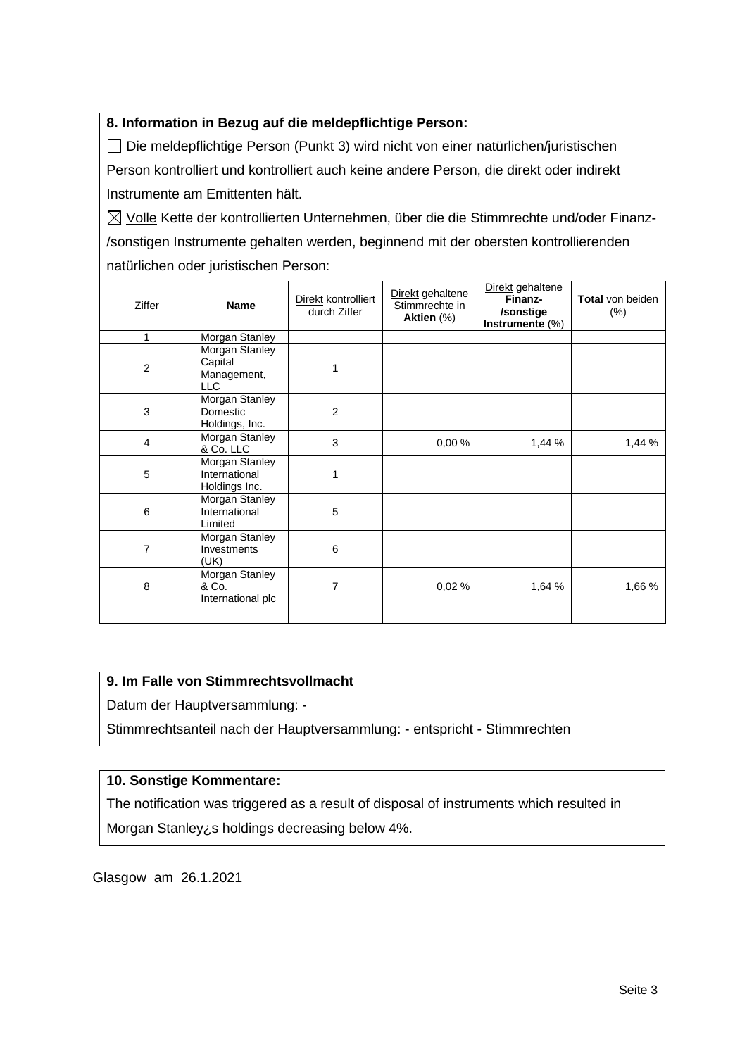## **8. Information in Bezug auf die meldepflichtige Person:**

Die meldepflichtige Person (Punkt 3) wird nicht von einer natürlichen/juristischen Person kontrolliert und kontrolliert auch keine andere Person, die direkt oder indirekt Instrumente am Emittenten hält.

 $\boxtimes$  Volle Kette der kontrollierten Unternehmen, über die die Stimmrechte und/oder Finanz-/sonstigen Instrumente gehalten werden, beginnend mit der obersten kontrollierenden natürlichen oder juristischen Person:

| Ziffer         | <b>Name</b>                                            | Direkt kontrolliert<br>durch Ziffer | Direkt gehaltene<br>Stimmrechte in<br>Aktien (%) | Direkt gehaltene<br>Finanz-<br>/sonstige<br>Instrumente $(\%)$ | <b>Total von beiden</b><br>$(\%)$ |
|----------------|--------------------------------------------------------|-------------------------------------|--------------------------------------------------|----------------------------------------------------------------|-----------------------------------|
| 1              | Morgan Stanley                                         |                                     |                                                  |                                                                |                                   |
| $\overline{c}$ | Morgan Stanley<br>Capital<br>Management,<br><b>LLC</b> |                                     |                                                  |                                                                |                                   |
| 3              | Morgan Stanley<br>Domestic<br>Holdings, Inc.           | 2                                   |                                                  |                                                                |                                   |
| 4              | Morgan Stanley<br>& Co. LLC                            | 3                                   | 0,00%                                            | 1,44 %                                                         | 1,44 %                            |
| 5              | Morgan Stanley<br>International<br>Holdings Inc.       | 1                                   |                                                  |                                                                |                                   |
| 6              | Morgan Stanley<br>International<br>Limited             | 5                                   |                                                  |                                                                |                                   |
| 7              | Morgan Stanley<br>Investments<br>(UK)                  | 6                                   |                                                  |                                                                |                                   |
| 8              | Morgan Stanley<br>& Co.<br>International plc           | 7                                   | 0,02%                                            | 1,64 %                                                         | 1,66 %                            |
|                |                                                        |                                     |                                                  |                                                                |                                   |

# **9. Im Falle von Stimmrechtsvollmacht**

Datum der Hauptversammlung: -

Stimmrechtsanteil nach der Hauptversammlung: - entspricht - Stimmrechten

# **10. Sonstige Kommentare:**

The notification was triggered as a result of disposal of instruments which resulted in Morgan Stanley¿s holdings decreasing below 4%.

Glasgow am 26.1.2021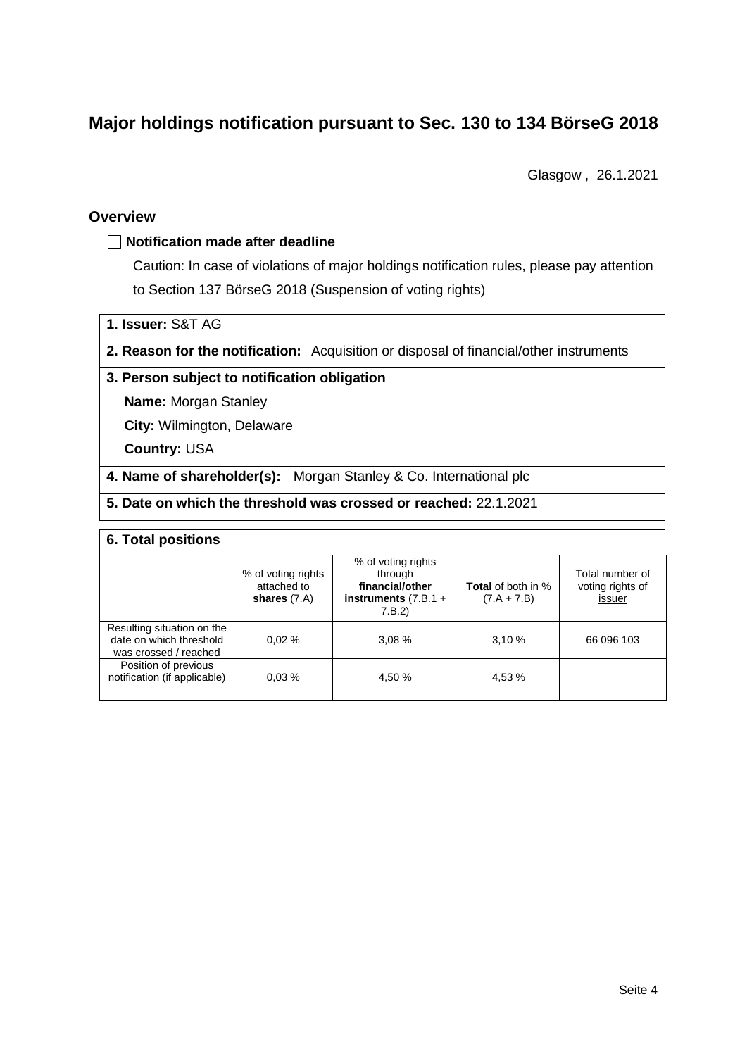# **Major holdings notification pursuant to Sec. 130 to 134 BörseG 2018**

Glasgow , 26.1.2021

#### **Overview**

## **Notification made after deadline**

Caution: In case of violations of major holdings notification rules, please pay attention to Section 137 BörseG 2018 (Suspension of voting rights)

**1. Issuer:** S&T AG

**2. Reason for the notification:** Acquisition or disposal of financial/other instruments

#### **3. Person subject to notification obligation**

**Name:** Morgan Stanley

**City:** Wilmington, Delaware

**Country:** USA

**4. Name of shareholder(s):** Morgan Stanley & Co. International plc

# **5. Date on which the threshold was crossed or reached:** 22.1.2021

#### **6. Total positions**

|                                                                                | % of voting rights<br>attached to<br>shares $(7.A)$ | % of voting rights<br>through<br>financial/other<br>instruments $(7.B.1 +$<br>7.B.2) | <b>Total</b> of both in %<br>$(7.A + 7.B)$ | Total number of<br>voting rights of<br>issuer |  |  |  |
|--------------------------------------------------------------------------------|-----------------------------------------------------|--------------------------------------------------------------------------------------|--------------------------------------------|-----------------------------------------------|--|--|--|
| Resulting situation on the<br>date on which threshold<br>was crossed / reached | 0.02%                                               | 3.08%                                                                                | 3.10%                                      | 66 096 103                                    |  |  |  |
| Position of previous<br>notification (if applicable)                           | 0.03%                                               | 4.50 %                                                                               | 4,53 %                                     |                                               |  |  |  |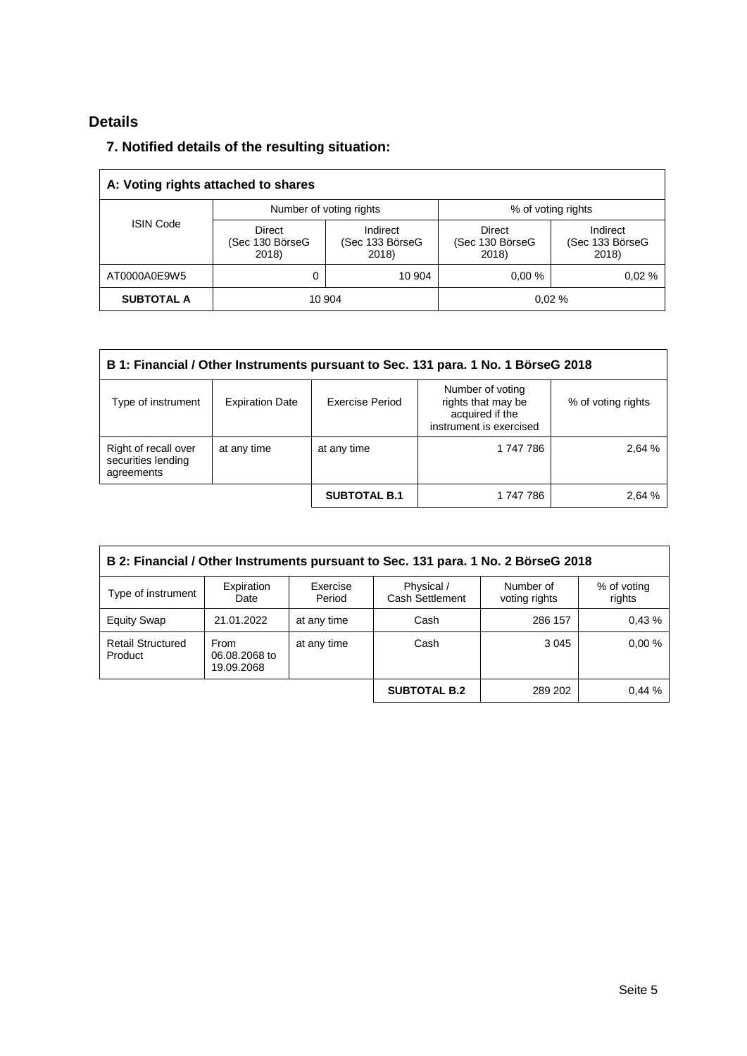# **Details**

# **7. Notified details of the resulting situation:**

| A: Voting rights attached to shares |                                    |                                      |                                           |                                      |  |  |  |
|-------------------------------------|------------------------------------|--------------------------------------|-------------------------------------------|--------------------------------------|--|--|--|
|                                     |                                    | Number of voting rights              |                                           | % of voting rights                   |  |  |  |
| <b>ISIN Code</b>                    | Direct<br>(Sec 130 BörseG<br>2018) | Indirect<br>(Sec 133 BörseG<br>2018) | <b>Direct</b><br>(Sec 130 BörseG<br>2018) | Indirect<br>(Sec 133 BörseG<br>2018) |  |  |  |
| AT0000A0E9W5                        | 0                                  | 10 904                               | 0.00%                                     | 0.02%                                |  |  |  |
| <b>SUBTOTAL A</b>                   | 10 904                             |                                      |                                           | 0.02%                                |  |  |  |

| B 1: Financial / Other Instruments pursuant to Sec. 131 para. 1 No. 1 BörseG 2018 |                        |                     |                                                                                      |                    |  |  |  |
|-----------------------------------------------------------------------------------|------------------------|---------------------|--------------------------------------------------------------------------------------|--------------------|--|--|--|
| Type of instrument                                                                | <b>Expiration Date</b> | Exercise Period     | Number of voting<br>rights that may be<br>acquired if the<br>instrument is exercised | % of voting rights |  |  |  |
| Right of recall over<br>securities lending<br>agreements                          | at any time            | at any time         | 1 747 786                                                                            | 2,64 %             |  |  |  |
|                                                                                   |                        | <b>SUBTOTAL B.1</b> | 1 747 786                                                                            | 2,64 %             |  |  |  |

| B 2: Financial / Other Instruments pursuant to Sec. 131 para. 1 No. 2 BörseG 2018 |                                            |                    |                               |                            |                       |  |
|-----------------------------------------------------------------------------------|--------------------------------------------|--------------------|-------------------------------|----------------------------|-----------------------|--|
| Type of instrument                                                                | Expiration<br>Date                         | Exercise<br>Period | Physical /<br>Cash Settlement | Number of<br>voting rights | % of voting<br>rights |  |
| <b>Equity Swap</b>                                                                | 21.01.2022                                 | at any time        | Cash                          | 286 157                    | 0.43%                 |  |
| <b>Retail Structured</b><br>Product                                               | <b>From</b><br>06.08.2068 to<br>19.09.2068 | at any time        | Cash                          | 3 0 4 5                    | 0.00%                 |  |
|                                                                                   |                                            |                    | <b>SUBTOTAL B.2</b>           | 289 202                    | 0.44%                 |  |